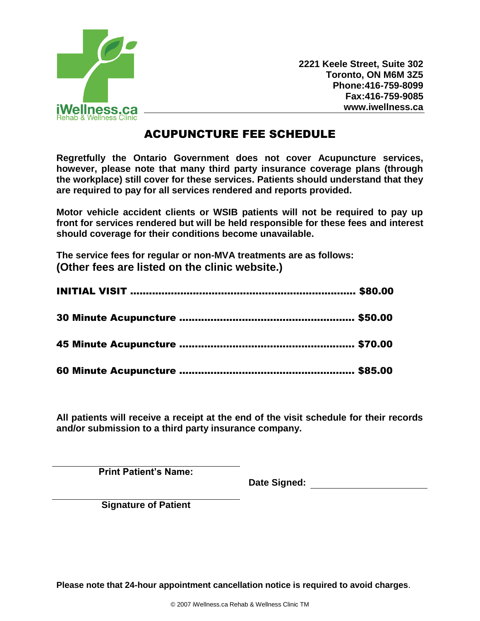

**2221 Keele Street, Suite 302 Toronto, ON M6M 3Z5 Phone:416-759-8099 Fax:416-759-9085 www.iwellness.ca**

# ACUPUNCTURE FEE SCHEDULE

**Regretfully the Ontario Government does not cover Acupuncture services, however, please note that many third party insurance coverage plans (through the workplace) still cover for these services. Patients should understand that they are required to pay for all services rendered and reports provided.** 

**Motor vehicle accident clients or WSIB patients will not be required to pay up front for services rendered but will be held responsible for these fees and interest should coverage for their conditions become unavailable.** 

**The service fees for regular or non-MVA treatments are as follows: (Other fees are listed on the clinic website.)**

**All patients will receive a receipt at the end of the visit schedule for their records and/or submission to a third party insurance company.** 

**Print Patient's Name:**

**Date Signed:** 

**Signature of Patient**

**Please note that 24-hour appointment cancellation notice is required to avoid charges**.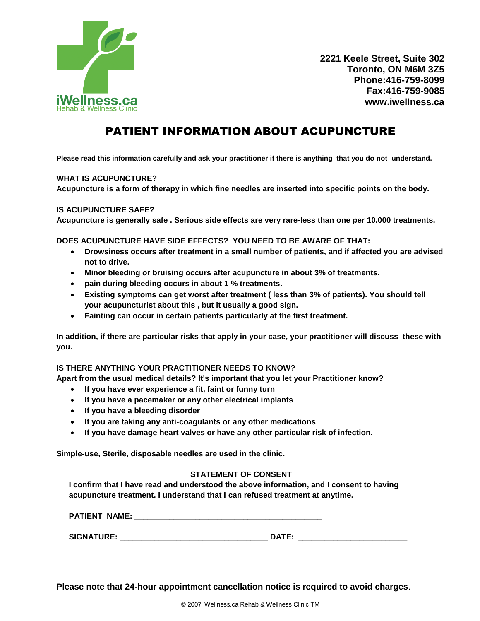

# PATIENT INFORMATION ABOUT ACUPUNCTURE

**Please read this information carefully and ask your practitioner if there is anything that you do not understand.**

### **WHAT IS ACUPUNCTURE?**

**Acupuncture is a form of therapy in which fine needles are inserted into specific points on the body.**

### **IS ACUPUNCTURE SAFE?**

**Acupuncture is generally safe . Serious side effects are very rare-less than one per 10.000 treatments.**

#### **DOES ACUPUNCTURE HAVE SIDE EFFECTS? YOU NEED TO BE AWARE OF THAT:**

- **Drowsiness occurs after treatment in a small number of patients, and if affected you are advised not to drive.**
- **Minor bleeding or bruising occurs after acupuncture in about 3% of treatments.**
- **pain during bleeding occurs in about 1 % treatments.**
- **Existing symptoms can get worst after treatment ( less than 3% of patients). You should tell your acupuncturist about this , but it usually a good sign.**
- **Fainting can occur in certain patients particularly at the first treatment.**

**In addition, if there are particular risks that apply in your case, your practitioner will discuss these with you.**

### **IS THERE ANYTHING YOUR PRACTITIONER NEEDS TO KNOW?**

**Apart from the usual medical details? It's important that you let your Practitioner know?**

- **If you have ever experience a fit, faint or funny turn**
- **If you have a pacemaker or any other electrical implants**
- **If you have a bleeding disorder**
- **If you are taking any anti-coagulants or any other medications**
- **If you have damage heart valves or have any other particular risk of infection.**

**Simple-use, Sterile, disposable needles are used in the clinic.**

## **STATEMENT OF CONSENT**

**I confirm that I have read and understood the above information, and I consent to having acupuncture treatment. I understand that I can refused treatment at anytime.**

**PATIENT NAME: \_\_\_\_\_\_\_\_\_\_\_\_\_\_\_\_\_\_\_\_\_\_\_\_\_\_\_\_\_\_\_\_\_\_\_\_\_\_\_\_\_\_\_**

**SIGNATURE: \_\_\_\_\_\_\_\_\_\_\_\_\_\_\_\_\_\_\_\_\_\_\_\_\_\_\_\_\_\_\_\_\_\_ DATE: \_\_\_\_\_\_\_\_\_\_\_\_\_\_\_\_\_\_\_\_\_\_\_\_\_** 

**Please note that 24-hour appointment cancellation notice is required to avoid charges**.